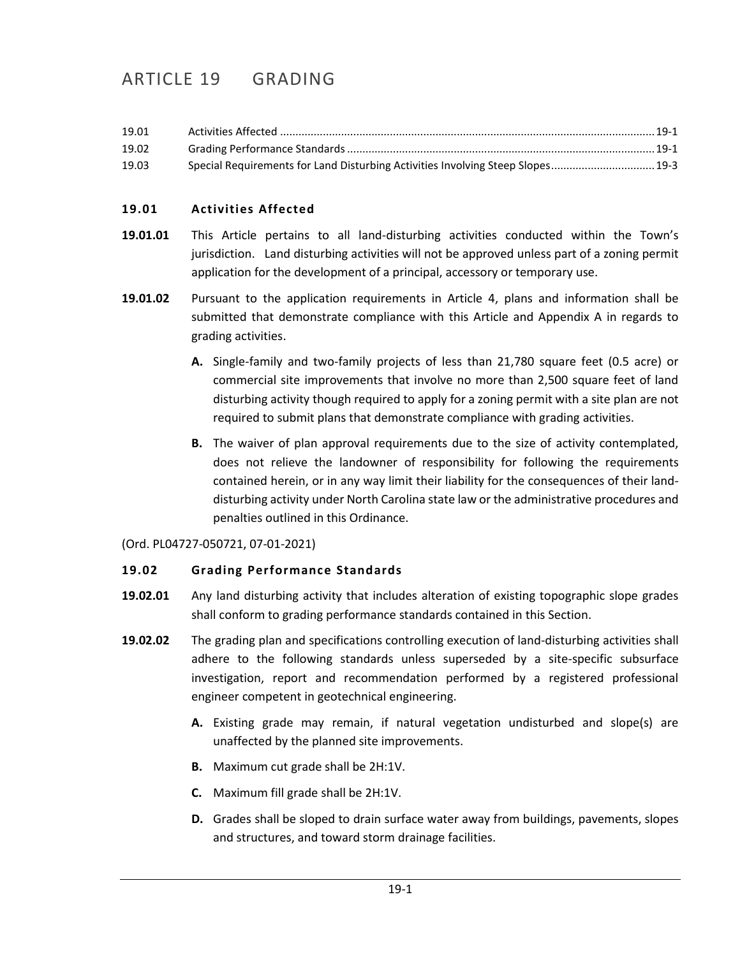# ARTICLE 19 GRADING

| 19.01 |                                                                                 |  |
|-------|---------------------------------------------------------------------------------|--|
| 19.02 |                                                                                 |  |
| 19.03 | Special Requirements for Land Disturbing Activities Involving Steep Slopes 19-3 |  |

### <span id="page-0-0"></span>**19.01 Activities Affected**

- **19.01.01** This Article pertains to all land-disturbing activities conducted within the Town's jurisdiction. Land disturbing activities will not be approved unless part of a zoning permit application for the development of a principal, accessory or temporary use.
- **19.01.02** Pursuant to the application requirements in Article 4, plans and information shall be submitted that demonstrate compliance with this Article and Appendix A in regards to grading activities.
	- **A.** Single-family and two-family projects of less than 21,780 square feet (0.5 acre) or commercial site improvements that involve no more than 2,500 square feet of land disturbing activity though required to apply for a zoning permit with a site plan are not required to submit plans that demonstrate compliance with grading activities.
	- **B.** The waiver of plan approval requirements due to the size of activity contemplated, does not relieve the landowner of responsibility for following the requirements contained herein, or in any way limit their liability for the consequences of their landdisturbing activity under North Carolina state law or the administrative procedures and penalties outlined in this Ordinance.

(Ord. PL04727-050721, 07-01-2021)

#### <span id="page-0-1"></span>**19.02 Grading Performance Standards**

- **19.02.01** Any land disturbing activity that includes alteration of existing topographic slope grades shall conform to grading performance standards contained in this Section.
- **19.02.02** The grading plan and specifications controlling execution of land-disturbing activities shall adhere to the following standards unless superseded by a site-specific subsurface investigation, report and recommendation performed by a registered professional engineer competent in geotechnical engineering.
	- **A.** Existing grade may remain, if natural vegetation undisturbed and slope(s) are unaffected by the planned site improvements.
	- **B.** Maximum cut grade shall be 2H:1V.
	- **C.** Maximum fill grade shall be 2H:1V.
	- **D.** Grades shall be sloped to drain surface water away from buildings, pavements, slopes and structures, and toward storm drainage facilities.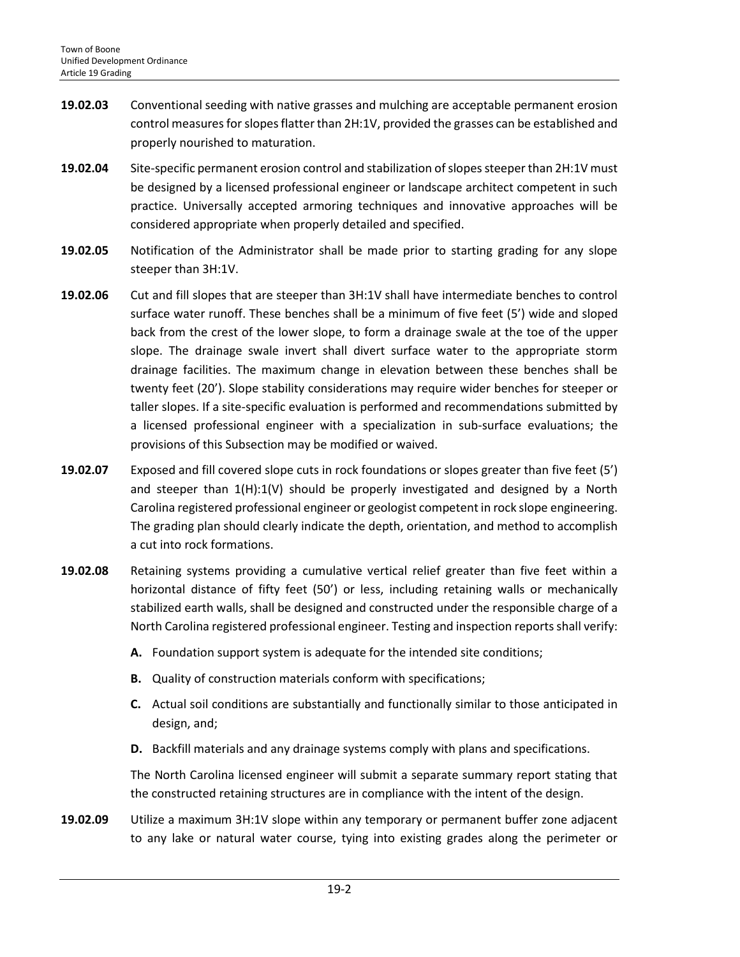- **19.02.03** Conventional seeding with native grasses and mulching are acceptable permanent erosion control measures for slopes flatter than 2H:1V, provided the grasses can be established and properly nourished to maturation.
- **19.02.04** Site-specific permanent erosion control and stabilization of slopes steeper than 2H:1V must be designed by a licensed professional engineer or landscape architect competent in such practice. Universally accepted armoring techniques and innovative approaches will be considered appropriate when properly detailed and specified.
- **19.02.05** Notification of the Administrator shall be made prior to starting grading for any slope steeper than 3H:1V.
- **19.02.06** Cut and fill slopes that are steeper than 3H:1V shall have intermediate benches to control surface water runoff. These benches shall be a minimum of five feet (5') wide and sloped back from the crest of the lower slope, to form a drainage swale at the toe of the upper slope. The drainage swale invert shall divert surface water to the appropriate storm drainage facilities. The maximum change in elevation between these benches shall be twenty feet (20'). Slope stability considerations may require wider benches for steeper or taller slopes. If a site-specific evaluation is performed and recommendations submitted by a licensed professional engineer with a specialization in sub-surface evaluations; the provisions of this Subsection may be modified or waived.
- **19.02.07** Exposed and fill covered slope cuts in rock foundations or slopes greater than five feet (5') and steeper than 1(H):1(V) should be properly investigated and designed by a North Carolina registered professional engineer or geologist competent in rock slope engineering. The grading plan should clearly indicate the depth, orientation, and method to accomplish a cut into rock formations.
- **19.02.08** Retaining systems providing a cumulative vertical relief greater than five feet within a horizontal distance of fifty feet (50') or less, including retaining walls or mechanically stabilized earth walls, shall be designed and constructed under the responsible charge of a North Carolina registered professional engineer. Testing and inspection reports shall verify:
	- **A.** Foundation support system is adequate for the intended site conditions;
	- **B.** Quality of construction materials conform with specifications;
	- **C.** Actual soil conditions are substantially and functionally similar to those anticipated in design, and;
	- **D.** Backfill materials and any drainage systems comply with plans and specifications.

The North Carolina licensed engineer will submit a separate summary report stating that the constructed retaining structures are in compliance with the intent of the design.

**19.02.09** Utilize a maximum 3H:1V slope within any temporary or permanent buffer zone adjacent to any lake or natural water course, tying into existing grades along the perimeter or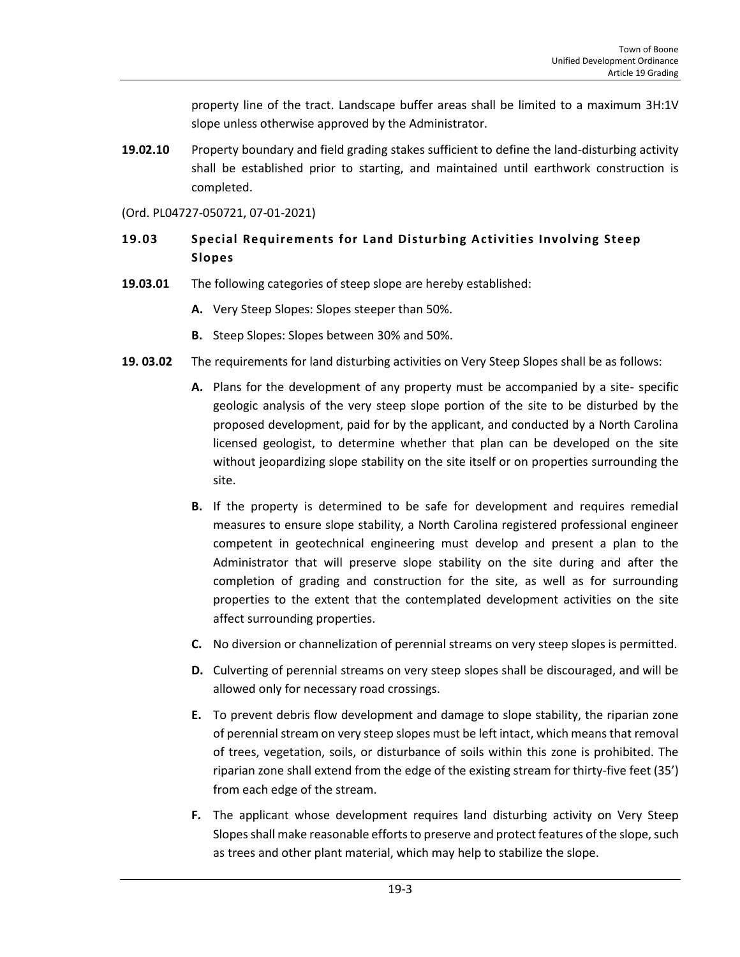property line of the tract. Landscape buffer areas shall be limited to a maximum 3H:1V slope unless otherwise approved by the Administrator.

**19.02.10** Property boundary and field grading stakes sufficient to define the land-disturbing activity shall be established prior to starting, and maintained until earthwork construction is completed.

#### (Ord. PL04727-050721, 07-01-2021)

## <span id="page-2-0"></span>**19.03 Special Requirements for Land Disturbing Activities Involving Steep Slopes**

- **19.03.01** The following categories of steep slope are hereby established:
	- **A.** Very Steep Slopes: Slopes steeper than 50%.
	- **B.** Steep Slopes: Slopes between 30% and 50%.
- **19. 03.02** The requirements for land disturbing activities on Very Steep Slopes shall be as follows:
	- **A.** Plans for the development of any property must be accompanied by a site- specific geologic analysis of the very steep slope portion of the site to be disturbed by the proposed development, paid for by the applicant, and conducted by a North Carolina licensed geologist, to determine whether that plan can be developed on the site without jeopardizing slope stability on the site itself or on properties surrounding the site.
	- **B.** If the property is determined to be safe for development and requires remedial measures to ensure slope stability, a North Carolina registered professional engineer competent in geotechnical engineering must develop and present a plan to the Administrator that will preserve slope stability on the site during and after the completion of grading and construction for the site, as well as for surrounding properties to the extent that the contemplated development activities on the site affect surrounding properties.
	- **C.** No diversion or channelization of perennial streams on very steep slopes is permitted.
	- **D.** Culverting of perennial streams on very steep slopes shall be discouraged, and will be allowed only for necessary road crossings.
	- **E.** To prevent debris flow development and damage to slope stability, the riparian zone of perennial stream on very steep slopes must be left intact, which means that removal of trees, vegetation, soils, or disturbance of soils within this zone is prohibited. The riparian zone shall extend from the edge of the existing stream for thirty-five feet (35') from each edge of the stream.
	- **F.** The applicant whose development requires land disturbing activity on Very Steep Slopes shall make reasonable efforts to preserve and protect features of the slope, such as trees and other plant material, which may help to stabilize the slope.